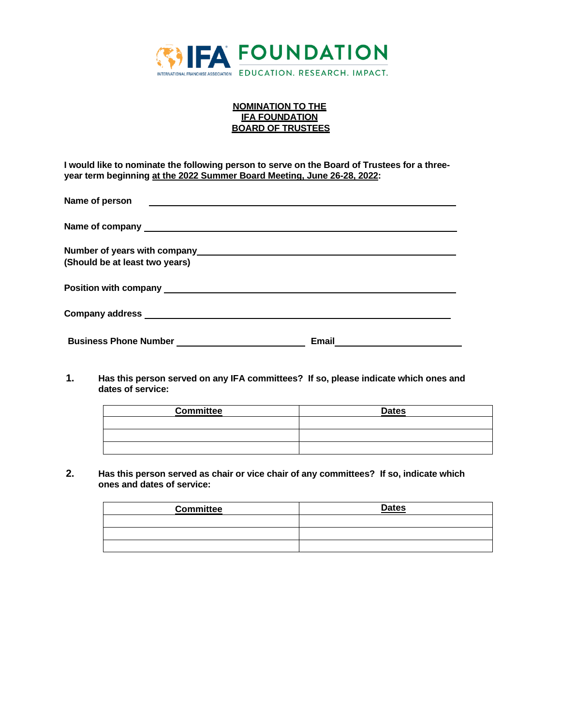

## **NOMINATION TO THE IFA FOUNDATION BOARD OF TRUSTEES**

**I would like to nominate the following person to serve on the Board of Trustees for a threeyear term beginning at the 2022 Summer Board Meeting, June 26-28, 2022:**

| Name of person                 |       |  |
|--------------------------------|-------|--|
|                                |       |  |
|                                |       |  |
| (Should be at least two years) |       |  |
|                                |       |  |
|                                |       |  |
|                                | Email |  |

**1. Has this person served on any IFA committees? If so, please indicate which ones and dates of service:**

| <b>Committee</b> | <b>Dates</b> |
|------------------|--------------|
|                  |              |
|                  |              |
|                  |              |

**2. Has this person served as chair or vice chair of any committees? If so, indicate which ones and dates of service:**

| <b>Committee</b> | <b>Dates</b> |
|------------------|--------------|
|                  |              |
|                  |              |
|                  |              |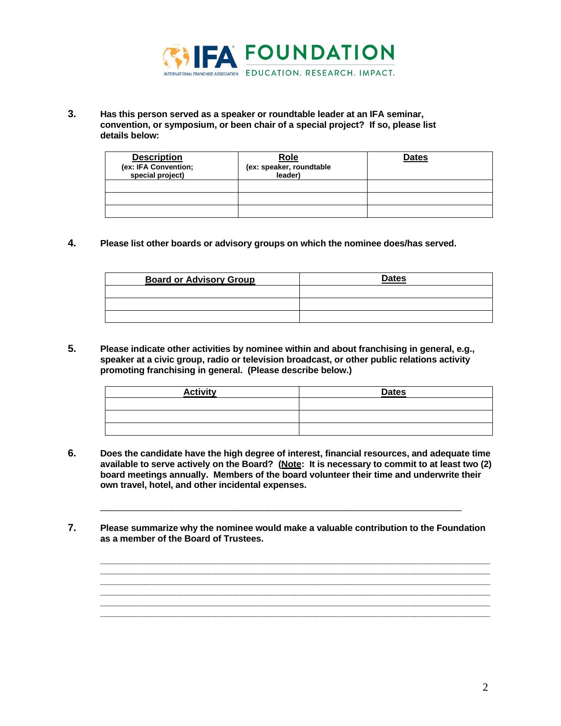

**3. Has this person served as a speaker or roundtable leader at an IFA seminar, convention, or symposium, or been chair of a special project? If so, please list details below:**

| <b>Description</b><br>(ex: IFA Convention;<br>special project) | <b>Role</b><br>(ex: speaker, roundtable<br>leader) | <b>Dates</b> |
|----------------------------------------------------------------|----------------------------------------------------|--------------|
|                                                                |                                                    |              |
|                                                                |                                                    |              |
|                                                                |                                                    |              |

**4. Please list other boards or advisory groups on which the nominee does/has served.**

| <b>Board or Advisory Group</b> | <b>Dates</b> |
|--------------------------------|--------------|
|                                |              |
|                                |              |
|                                |              |

**5. Please indicate other activities by nominee within and about franchising in general, e.g., speaker at a civic group, radio or television broadcast, or other public relations activity promoting franchising in general. (Please describe below.)**

| <b>Activity</b> | <b>Dates</b> |
|-----------------|--------------|
|                 |              |
|                 |              |
|                 |              |

**6. Does the candidate have the high degree of interest, financial resources, and adequate time available to serve actively on the Board? (Note: It is necessary to commit to at least two (2) board meetings annually. Members of the board volunteer their time and underwrite their own travel, hotel, and other incidental expenses.**

\_\_\_\_\_\_\_\_\_\_\_\_\_\_\_\_\_\_\_\_\_\_\_\_\_\_\_\_\_\_\_\_\_\_\_\_\_\_\_\_\_\_\_\_\_\_\_\_\_\_\_\_\_\_\_\_\_\_\_\_\_\_\_\_\_\_\_\_\_\_\_

**7. Please summarize why the nominee would make a valuable contribution to the Foundation as a member of the Board of Trustees.**

**\_\_\_\_\_\_\_\_\_\_\_\_\_\_\_\_\_\_\_\_\_\_\_\_\_\_\_\_\_\_\_\_\_\_\_\_\_\_\_\_\_\_\_\_\_\_\_\_\_\_\_\_\_\_\_\_\_\_\_\_\_\_\_\_\_\_\_\_\_\_\_\_\_\_\_\_\_\_ \_\_\_\_\_\_\_\_\_\_\_\_\_\_\_\_\_\_\_\_\_\_\_\_\_\_\_\_\_\_\_\_\_\_\_\_\_\_\_\_\_\_\_\_\_\_\_\_\_\_\_\_\_\_\_\_\_\_\_\_\_\_\_\_\_\_\_\_\_\_\_\_\_\_\_\_\_\_**

**\_\_\_\_\_\_\_\_\_\_\_\_\_\_\_\_\_\_\_\_\_\_\_\_\_\_\_\_\_\_\_\_\_\_\_\_\_\_\_\_\_\_\_\_\_\_\_\_\_\_\_\_\_\_\_\_\_\_\_\_\_\_\_\_\_\_\_\_\_\_\_\_\_\_\_\_\_\_ \_\_\_\_\_\_\_\_\_\_\_\_\_\_\_\_\_\_\_\_\_\_\_\_\_\_\_\_\_\_\_\_\_\_\_\_\_\_\_\_\_\_\_\_\_\_\_\_\_\_\_\_\_\_\_\_\_\_\_\_\_\_\_\_\_\_\_\_\_\_\_\_\_\_\_\_\_\_**

**\_\_\_\_\_\_\_\_\_\_\_\_\_\_\_\_\_\_\_\_\_\_\_\_\_\_\_\_\_\_\_\_\_\_\_\_\_\_\_\_\_\_\_\_\_\_\_\_\_\_\_\_\_\_\_\_\_\_\_\_\_\_\_\_\_\_\_\_\_\_\_\_\_\_\_\_\_\_**